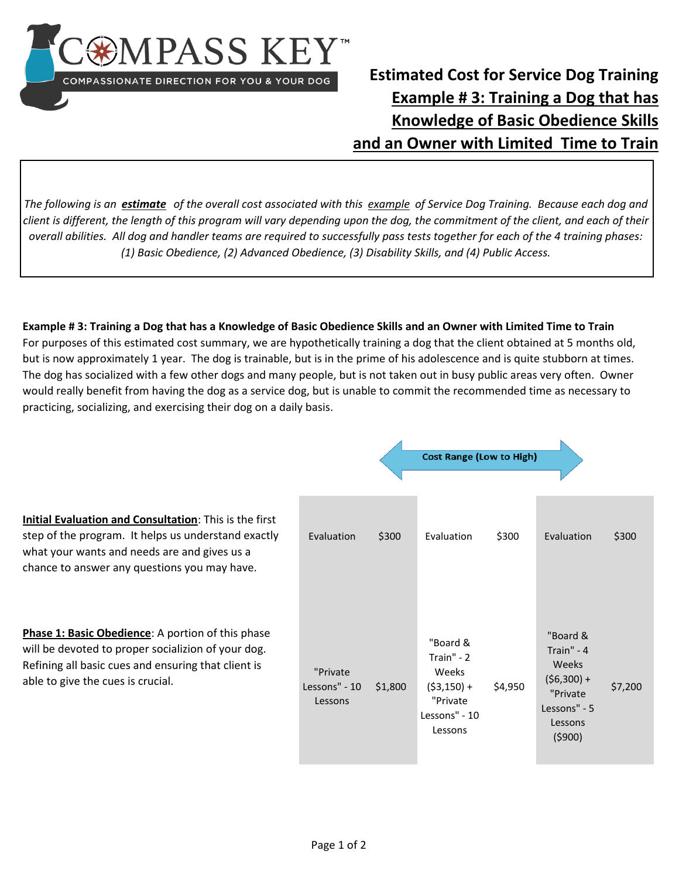

## **Estimated Cost for Service Dog Training Example # 3: Training a Dog that has Knowledge of Basic Obedience Skills and an Owner with Limited Time to Train**

*The following is an estimate of the overall cost associated with this example of Service Dog Training. Because each dog and client is different, the length of this program will vary depending upon the dog, the commitment of the client, and each of their overall abilities. All dog and handler teams are required to successfully pass tests together for each of the 4 training phases: (1) Basic Obedience, (2) Advanced Obedience, (3) Disability Skills, and (4) Public Access.* 

**Example # 3: Training a Dog that has a Knowledge of Basic Obedience Skills and an Owner with Limited Time to Train**  For purposes of this estimated cost summary, we are hypothetically training a dog that the client obtained at 5 months old, but is now approximately 1 year. The dog is trainable, but is in the prime of his adolescence and is quite stubborn at times. The dog has socialized with a few other dogs and many people, but is not taken out in busy public areas very often. Owner would really benefit from having the dog as a service dog, but is unable to commit the recommended time as necessary to practicing, socializing, and exercising their dog on a daily basis.

|                                                                                                                                                                                                               |                                      |         | <b>Cost Range (Low to High)</b>                                                          |         |                                                                                                  |         |
|---------------------------------------------------------------------------------------------------------------------------------------------------------------------------------------------------------------|--------------------------------------|---------|------------------------------------------------------------------------------------------|---------|--------------------------------------------------------------------------------------------------|---------|
| Initial Evaluation and Consultation: This is the first<br>step of the program. It helps us understand exactly<br>what your wants and needs are and gives us a<br>chance to answer any questions you may have. | Evaluation                           | \$300   | Evaluation                                                                               | \$300   | Evaluation                                                                                       | \$300   |
| Phase 1: Basic Obedience: A portion of this phase<br>will be devoted to proper socializion of your dog.<br>Refining all basic cues and ensuring that client is<br>able to give the cues is crucial.           | "Private<br>Lessons" - 10<br>Lessons | \$1,800 | "Board &<br>Train" - 2<br>Weeks<br>$(53, 150) +$<br>"Private<br>Lessons" - 10<br>Lessons | \$4,950 | "Board &<br>Train" - 4<br>Weeks<br>$(56,300) +$<br>"Private<br>Lessons" - 5<br>Lessons<br>(5900) | \$7,200 |